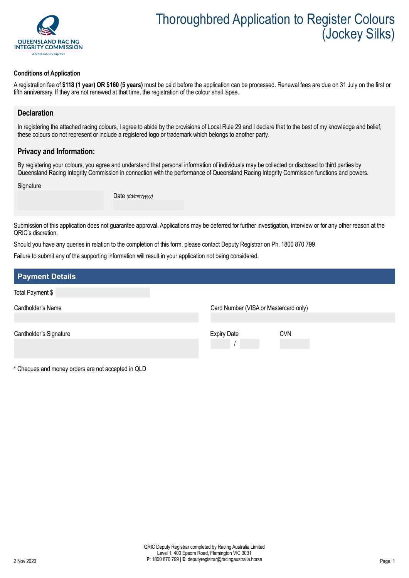

#### **Conditions of Application**

A registration fee of **\$118 (1 year) OR \$160 (5 years)** must be paid before the application can be processed. Renewal fees are due on 31 July on the first or fifth anniversary. If they are not renewed at that time, the registration of the colour shall lapse.

### **Declaration**

In registering the attached racing colours, I agree to abide by the provisions of Local Rule 29 and I declare that to the best of my knowledge and belief. these colours do not represent or include a registered logo or trademark which belongs to another party.

### **Privacy and Information:**

By registering your colours, you agree and understand that personal information of individuals may be collected or disclosed to third parties by Queensland Racing Integrity Commission in connection with the performance of Queensland Racing Integrity Commission functions and powers.

**Signature** 

Date *(dd/mm/yyyy)*

Submission of this application does not guarantee approval. Applications may be deferred for further investigation, interview or for any other reason at the QRIC's discretion.

Should you have any queries in relation to the completion of this form, please contact Deputy Registrar on Ph. 1800 870 799

Failure to submit any of the supporting information will result in your application not being considered.

| <b>Payment Details</b> |                                       |
|------------------------|---------------------------------------|
| Total Payment \$       |                                       |
| Cardholder's Name      | Card Number (VISA or Mastercard only) |
| Cardholder's Signature | <b>Expiry Date</b><br><b>CVN</b>      |

\* Cheques and money orders are not accepted in QLD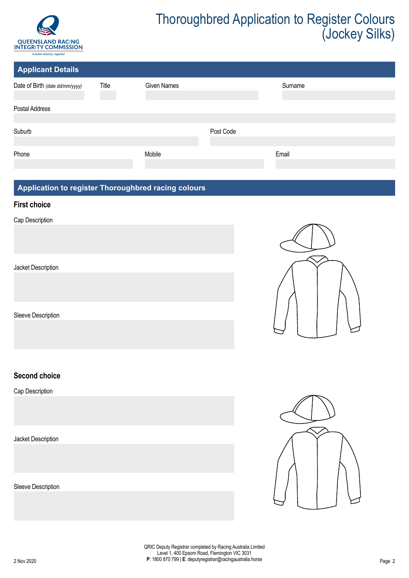

| <b>Applicant Details</b>        |       |                    |           |         |  |
|---------------------------------|-------|--------------------|-----------|---------|--|
| Date of Birth (date dd/mm/yyyy) | Title | <b>Given Names</b> |           | Surname |  |
|                                 |       |                    |           |         |  |
| Postal Address                  |       |                    |           |         |  |
|                                 |       |                    |           |         |  |
| Suburb                          |       |                    | Post Code |         |  |
|                                 |       |                    |           |         |  |
| Phone                           |       | Mobile             |           | Email   |  |
|                                 |       |                    |           |         |  |

## **Application to register Thoroughbred racing colours**

### **First choice**

Cap Description

Jacket Description

Sleeve Description

## **Second choice**

Cap Description

Jacket Description

Sleeve Description



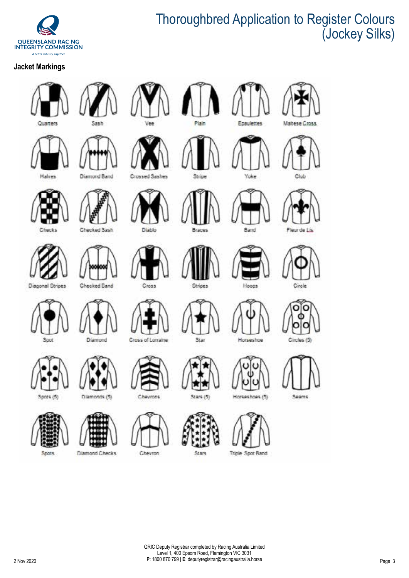

## **Jacket Markings**